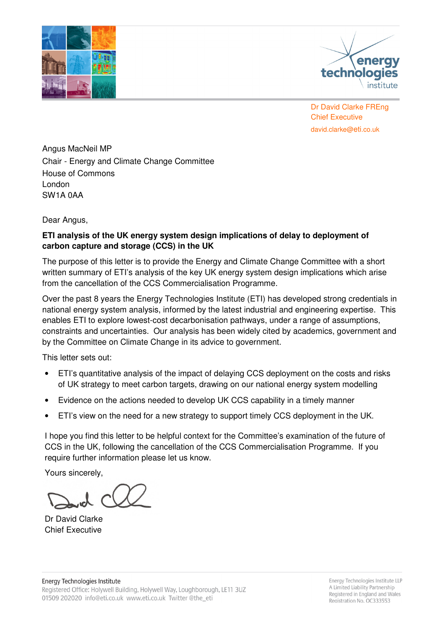



 Chief Executive Dr David Clarke FREng david.clarke@eti.co.uk

 Angus MacNeil MP Chair - Energy and Climate Change Committee House of Commons SW1A 0AA London

Dear Angus,

# **ETI analysis of the UK energy system design implications of delay to deployment of carbon capture and storage (CCS) in the UK**

 The purpose of this letter is to provide the Energy and Climate Change Committee with a short written summary of ETI's analysis of the key UK energy system design implications which arise from the cancellation of the CCS Commercialisation Programme.

 Over the past 8 years the Energy Technologies Institute (ETI) has developed strong credentials in national energy system analysis, informed by the latest industrial and engineering expertise. This enables ETI to explore lowest-cost decarbonisation pathways, under a range of assumptions, constraints and uncertainties. Our analysis has been widely cited by academics, government and by the Committee on Climate Change in its advice to government.

This letter sets out:

- $\bullet$  of UK strategy to meet carbon targets, drawing on our national energy system modelling ETI's quantitative analysis of the impact of delaying CCS deployment on the costs and risks
- Evidence on the actions needed to develop UK CCS capability in a timely manner
- $\bullet$ ETI's view on the need for a new strategy to support timely CCS deployment in the UK.

 I hope you find this letter to be helpful context for the Committee's examination of the future of CCS in the UK, following the cancellation of the CCS Commercialisation Programme. If you require further information please let us know.

Yours sincerely,

 Dr David Clarke Chief Executive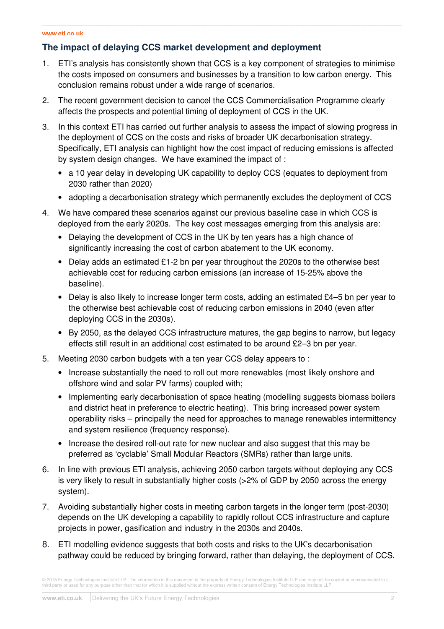# **The impact of delaying CCS market development and deployment**

- $1.$  the costs imposed on consumers and businesses by a transition to low carbon energy. This conclusion remains robust under a wide range of scenarios. ETI's analysis has consistently shown that CCS is a key component of strategies to minimise
- 2. The recent government decision to cancel the CCS Commercialisation Programme clearly affects the prospects and potential timing of deployment of CCS in the UK.
- $3<sub>1</sub>$  the deployment of CCS on the costs and risks of broader UK decarbonisation strategy. Specifically, ETI analysis can highlight how the cost impact of reducing emissions is affected by system design changes. We have examined the impact of : In this context ETI has carried out further analysis to assess the impact of slowing progress in
	- a 10 year delay in developing UK capability to deploy CCS (equates to deployment from 2030 rather than 2020)
	- adopting a decarbonisation strategy which permanently excludes the deployment of CCS
- 4. We have compared these scenarios against our previous baseline case in which CCS is deployed from the early 2020s. The key cost messages emerging from this analysis are:
	- Delaying the development of CCS in the UK by ten years has a high chance of significantly increasing the cost of carbon abatement to the UK economy.
	- Delay adds an estimated £1-2 bn per year throughout the 2020s to the otherwise best achievable cost for reducing carbon emissions (an increase of 15-25% above the baseline).
	- Delay is also likely to increase longer term costs, adding an estimated £4–5 bn per year to the otherwise best achievable cost of reducing carbon emissions in 2040 (even after deploying CCS in the 2030s).
	- By 2050, as the delayed CCS infrastructure matures, the gap begins to narrow, but legacy effects still result in an additional cost estimated to be around £2–3 bn per year.
- 5. Meeting 2030 carbon budgets with a ten year CCS delay appears to :
	- Increase substantially the need to roll out more renewables (most likely onshore and offshore wind and solar PV farms) coupled with;
	- Implementing early decarbonisation of space heating (modelling suggests biomass boilers and district heat in preference to electric heating). This bring increased power system operability risks – principally the need for approaches to manage renewables intermittency and system resilience (frequency response).
	- Increase the desired roll-out rate for new nuclear and also suggest that this may be preferred as 'cyclable' Small Modular Reactors (SMRs) rather than large units.
- 6. is very likely to result in substantially higher costs (>2% of GDP by 2050 across the energy In line with previous ETI analysis, achieving 2050 carbon targets without deploying any CCS system).
- 7. Avoiding substantially higher costs in meeting carbon targets in the longer term (post-2030) depends on the UK developing a capability to rapidly rollout CCS infrastructure and capture projects in power, gasification and industry in the 2030s and 2040s.
- 8. ETI modelling evidence suggests that both costs and risks to the UK's decarbonisation pathway could be reduced by bringing forward, rather than delaying, the deployment of CCS.

<sup>© 2015</sup> Energy Technologies Institute LLP. The information in this document is the property of Energy Technologies Institute LLP and may not be copied or communicated to a<br>third party or used for any purpose other than that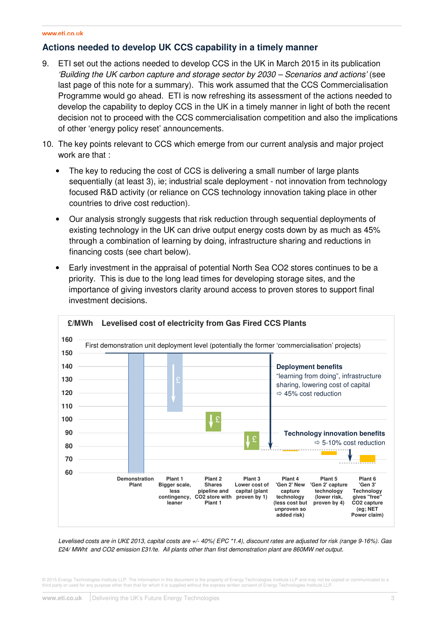## **Actions needed to develop UK CCS capability in a timely manner**

- $\mathbf{q}$  'Building the UK carbon capture and storage sector by 2030 – Scenarios and actions' (see last page of this note for a summary). This work assumed that the CCS Commercialisation Programme would go ahead. ETI is now refreshing its assessment of the actions needed to develop the capability to deploy CCS in the UK in a timely manner in light of both the recent decision not to proceed with the CCS commercialisation competition and also the implications of other 'energy policy reset' announcements. ETI set out the actions needed to develop CCS in the UK in March 2015 in its publication
- 10. The key points relevant to CCS which emerge from our current analysis and major project work are that :
	- sequentially (at least 3), ie; industrial scale deployment not innovation from technology focused R&D activity (or reliance on CCS technology innovation taking place in other countries to drive cost reduction). The key to reducing the cost of CCS is delivering a small number of large plants
	- existing technology in the UK can drive output energy costs down by as much as 45% through a combination of learning by doing, infrastructure sharing and reductions in financing costs (see chart below). • Our analysis strongly suggests that risk reduction through sequential deployments of
	- priority. This is due to the long lead times for developing storage sites, and the importance of giving investors clarity around access to proven stores to support final investment decisions. Early investment in the appraisal of potential North Sea CO2 stores continues to be a



 Levelised costs are in UK£ 2013, capital costs are +/- 40%( EPC \*1.4), discount rates are adjusted for risk (range 9-16%). Gas £24/ MWht and CO2 emission £31/te. All plants other than first demonstration plant are 860MW net output.

 © 2015 Energy Technologies Institute LLP. The information in this document is the property of Energy Technologies Institute LLP and may not be copied or communicated to a third party or used for any purpose other than that for which it is supplied without the express written consent of Energy Technologies Institute LLP.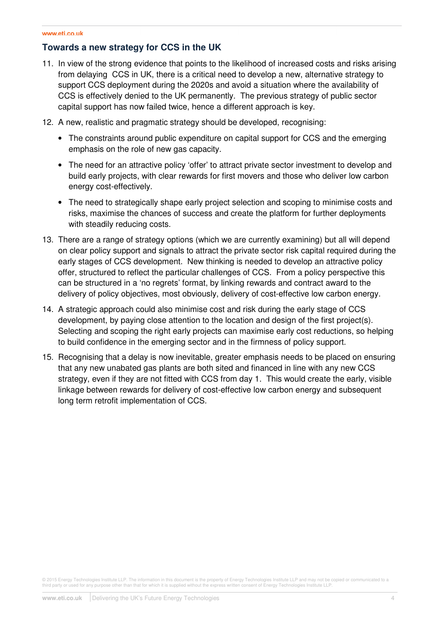### **Towards a new strategy for CCS in the UK**

- 11. In view of the strong evidence that points to the likelihood of increased costs and risks arising from delaying CCS in UK, there is a critical need to develop a new, alternative strategy to support CCS deployment during the 2020s and avoid a situation where the availability of CCS is effectively denied to the UK permanently. The previous strategy of public sector capital support has now failed twice, hence a different approach is key.
- 12. A new, realistic and pragmatic strategy should be developed, recognising:
	- The constraints around public expenditure on capital support for CCS and the emerging emphasis on the role of new gas capacity.
	- The need for an attractive policy 'offer' to attract private sector investment to develop and build early projects, with clear rewards for first movers and those who deliver low carbon energy cost-effectively.
	- The need to strategically shape early project selection and scoping to minimise costs and risks, maximise the chances of success and create the platform for further deployments with steadily reducing costs.
- 13. There are a range of strategy options (which we are currently examining) but all will depend on clear policy support and signals to attract the private sector risk capital required during the early stages of CCS development. New thinking is needed to develop an attractive policy offer, structured to reflect the particular challenges of CCS. From a policy perspective this can be structured in a 'no regrets' format, by linking rewards and contract award to the delivery of policy objectives, most obviously, delivery of cost-effective low carbon energy.
- 14. A strategic approach could also minimise cost and risk during the early stage of CCS development, by paying close attention to the location and design of the first project(s). Selecting and scoping the right early projects can maximise early cost reductions, so helping to build confidence in the emerging sector and in the firmness of policy support.
- 15. Recognising that a delay is now inevitable, greater emphasis needs to be placed on ensuring that any new unabated gas plants are both sited and financed in line with any new CCS strategy, even if they are not fitted with CCS from day 1. This would create the early, visible linkage between rewards for delivery of cost-effective low carbon energy and subsequent long term retrofit implementation of CCS.

© 2015 Energy Technologies Institute LLP. The information in this document is the property of Energy Technologies Institute LLP and may not be copied or communicated to a<br>third party or used for any purpose other than that